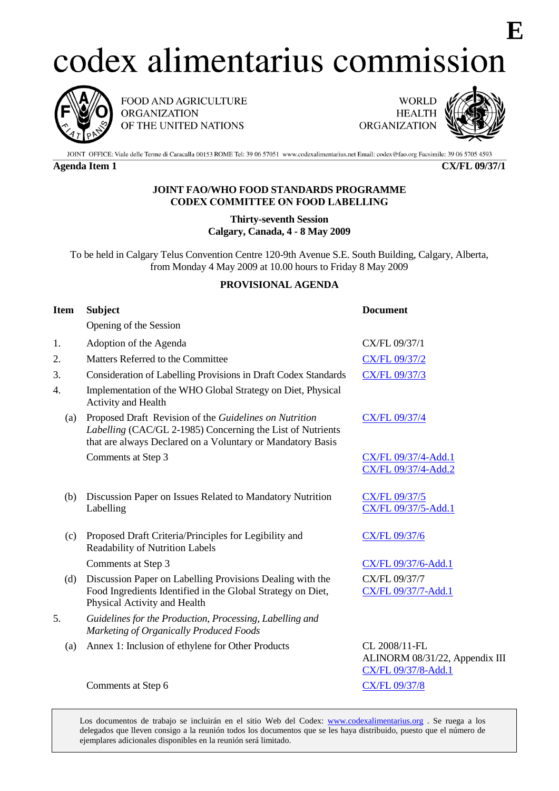# codex alimentarius commission



FOOD AND AGRICULTURE **ORGANIZATION** OF THE UNITED NATIONS

**WORLD HEALTH ORGANIZATION** 



**E**

JOINT OFFICE: Viale delle Terme di Caracalla 00153 ROME Tel: 39 06 57051 www.codexalimentarius.net Email: codex@fao.org Facsimile: 39 06 5705 4593

**Agenda Item 1 CX/FL 09/37/1**

## **JOINT FAO/WHO FOOD STANDARDS PROGRAMME CODEX COMMITTEE ON FOOD LABELLING**

**Thirty-seventh Session Calgary, Canada, 4 - 8 May 2009**

To be held in Calgary Telus Convention Centre 120-9th Avenue S.E. South Building, Calgary, Alberta, from Monday 4 May 2009 at 10.00 hours to Friday 8 May 2009

## **PROVISIONAL AGENDA**

| <b>Item</b> | <b>Subject</b>                                                                                                                                                                     | <b>Document</b>                                                        |
|-------------|------------------------------------------------------------------------------------------------------------------------------------------------------------------------------------|------------------------------------------------------------------------|
|             | Opening of the Session                                                                                                                                                             |                                                                        |
| 1.          | Adoption of the Agenda                                                                                                                                                             | CX/FL 09/37/1                                                          |
| 2.          | Matters Referred to the Committee                                                                                                                                                  | CX/FL 09/37/2                                                          |
| 3.          | Consideration of Labelling Provisions in Draft Codex Standards                                                                                                                     | <b>CX/FL 09/37/3</b>                                                   |
| 4.          | Implementation of the WHO Global Strategy on Diet, Physical<br>Activity and Health                                                                                                 |                                                                        |
| (a)         | Proposed Draft Revision of the Guidelines on Nutrition<br>Labelling (CAC/GL 2-1985) Concerning the List of Nutrients<br>that are always Declared on a Voluntary or Mandatory Basis | <b>CX/FL 09/37/4</b>                                                   |
|             | Comments at Step 3                                                                                                                                                                 | CX/FL 09/37/4-Add.1<br>CX/FL 09/37/4-Add.2                             |
| (b)         | Discussion Paper on Issues Related to Mandatory Nutrition<br>Labelling                                                                                                             | CX/FL 09/37/5<br>CX/FL 09/37/5-Add.1                                   |
| (c)         | Proposed Draft Criteria/Principles for Legibility and<br><b>Readability of Nutrition Labels</b>                                                                                    | <b>CX/FL 09/37/6</b>                                                   |
|             | Comments at Step 3                                                                                                                                                                 | CX/FL 09/37/6-Add.1                                                    |
| (d)         | Discussion Paper on Labelling Provisions Dealing with the<br>Food Ingredients Identified in the Global Strategy on Diet,<br>Physical Activity and Health                           | CX/FL 09/37/7<br>CX/FL 09/37/7-Add.1                                   |
| 5.          | Guidelines for the Production, Processing, Labelling and<br>Marketing of Organically Produced Foods                                                                                |                                                                        |
| (a)         | Annex 1: Inclusion of ethylene for Other Products                                                                                                                                  | CL 2008/11-FL<br>ALINORM 08/31/22, Appendix III<br>CX/FL 09/37/8-Add.1 |
|             | Comments at Step 6                                                                                                                                                                 | <b>CX/FL 09/37/8</b>                                                   |

Los documentos de trabajo se incluirán en el sitio Web del Codex: www.codexalimentarius.org. Se ruega a los delegados que lleven consigo a la reunión todos los documentos que se les haya distribuido, puesto que el número de ejemplares adicionales disponibles en la reunión será limitado.